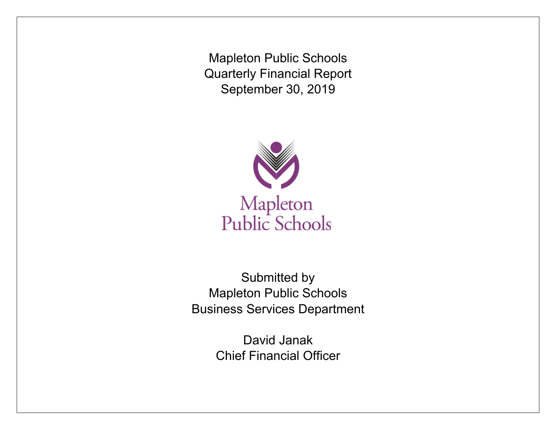Mapleton Public Schools Quarterly Financial Report September 30, 2019



Submitted by Mapleton Public Schools Business Services Department

> David Janak Chief Financial Officer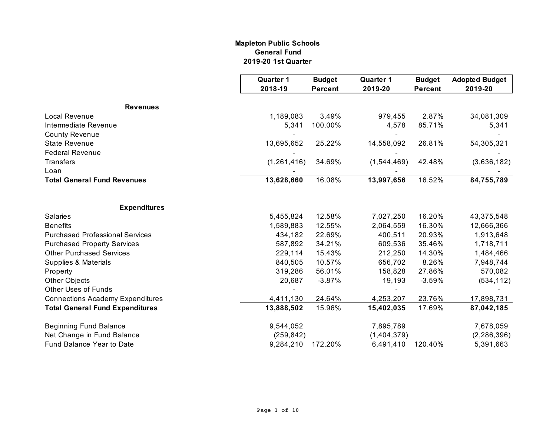#### **General Fund 2019-20 1st Quarter Mapleton Public Schools**

|                                         | <b>Quarter 1</b><br>2018-19 | <b>Budget</b><br><b>Percent</b> | <b>Quarter 1</b><br>2019-20 | <b>Budget</b><br><b>Percent</b> | <b>Adopted Budget</b><br>2019-20 |
|-----------------------------------------|-----------------------------|---------------------------------|-----------------------------|---------------------------------|----------------------------------|
| <b>Revenues</b>                         |                             |                                 |                             |                                 |                                  |
| <b>Local Revenue</b>                    | 1,189,083                   | 3.49%                           | 979,455                     | 2.87%                           | 34,081,309                       |
| Intermediate Revenue                    | 5,341                       | 100.00%                         | 4,578                       | 85.71%                          | 5,341                            |
| <b>County Revenue</b>                   |                             |                                 |                             |                                 |                                  |
| <b>State Revenue</b>                    | 13,695,652                  | 25.22%                          | 14,558,092                  | 26.81%                          | 54,305,321                       |
| <b>Federal Revenue</b>                  |                             |                                 |                             |                                 |                                  |
| Transfers                               | (1, 261, 416)               | 34.69%                          | (1,544,469)                 | 42.48%                          | (3,636,182)                      |
| Loan                                    |                             |                                 |                             |                                 |                                  |
| <b>Total General Fund Revenues</b>      | 13,628,660                  | 16.08%                          | 13,997,656                  | 16.52%                          | 84,755,789                       |
| <b>Expenditures</b>                     |                             |                                 |                             |                                 |                                  |
| Salaries                                | 5,455,824                   | 12.58%                          | 7,027,250                   | 16.20%                          | 43,375,548                       |
| <b>Benefits</b>                         | 1,589,883                   | 12.55%                          | 2,064,559                   | 16.30%                          | 12,666,366                       |
| <b>Purchased Professional Services</b>  | 434,182                     | 22.69%                          | 400,511                     | 20.93%                          | 1,913,648                        |
| <b>Purchased Property Services</b>      | 587,892                     | 34.21%                          | 609,536                     | 35.46%                          | 1,718,711                        |
| <b>Other Purchased Services</b>         | 229,114                     | 15.43%                          | 212,250                     | 14.30%                          | 1,484,466                        |
| Supplies & Materials                    | 840,505                     | 10.57%                          | 656,702                     | 8.26%                           | 7,948,744                        |
| Property                                | 319,286                     | 56.01%                          | 158,828                     | 27.86%                          | 570,082                          |
| <b>Other Objects</b>                    | 20,687                      | $-3.87%$                        | 19,193                      | $-3.59%$                        | (534, 112)                       |
| <b>Other Uses of Funds</b>              |                             |                                 |                             |                                 |                                  |
| <b>Connections Academy Expenditures</b> | 4,411,130                   | 24.64%                          | 4,253,207                   | 23.76%                          | 17,898,731                       |
| <b>Total General Fund Expenditures</b>  | 13,888,502                  | 15.96%                          | 15,402,035                  | 17.69%                          | 87,042,185                       |
| <b>Beginning Fund Balance</b>           | 9,544,052                   |                                 | 7,895,789                   |                                 | 7,678,059                        |
| Net Change in Fund Balance              | (259, 842)                  |                                 | (1,404,379)                 |                                 | (2, 286, 396)                    |
| Fund Balance Year to Date               | 9,284,210                   | 172.20%                         | 6,491,410                   | 120.40%                         | 5,391,663                        |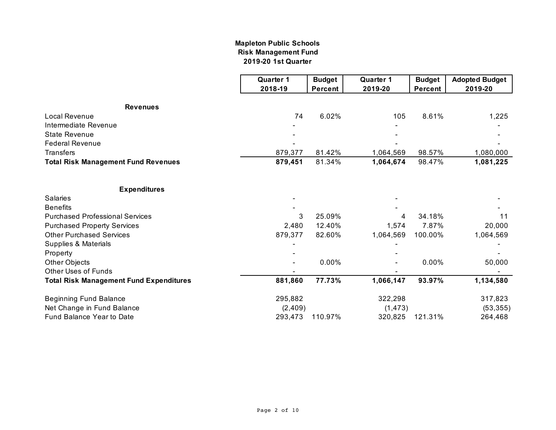#### **2019-20 1st Quarter Mapleton Public Schools Risk Management Fund**

|                                                | <b>Quarter 1</b> | <b>Budget</b>  | <b>Quarter 1</b> | <b>Budget</b> | <b>Adopted Budget</b> |
|------------------------------------------------|------------------|----------------|------------------|---------------|-----------------------|
|                                                | 2018-19          | <b>Percent</b> | 2019-20          | Percent       | 2019-20               |
| <b>Revenues</b>                                |                  |                |                  |               |                       |
| <b>Local Revenue</b>                           | 74               | 6.02%          | 105              | 8.61%         | 1,225                 |
| Intermediate Revenue                           |                  |                |                  |               |                       |
| <b>State Revenue</b>                           |                  |                |                  |               |                       |
| <b>Federal Revenue</b>                         |                  |                |                  |               |                       |
| <b>Transfers</b>                               | 879,377          | 81.42%         | 1,064,569        | 98.57%        | 1,080,000             |
| <b>Total Risk Management Fund Revenues</b>     | 879,451          | 81.34%         | 1,064,674        | 98.47%        | 1,081,225             |
| <b>Expenditures</b>                            |                  |                |                  |               |                       |
| <b>Salaries</b>                                |                  |                |                  |               |                       |
| <b>Benefits</b>                                |                  |                |                  |               |                       |
| <b>Purchased Professional Services</b>         | 3                | 25.09%         | 4                | 34.18%        | 11                    |
| <b>Purchased Property Services</b>             | 2,480            | 12.40%         | 1,574            | 7.87%         | 20,000                |
| <b>Other Purchased Services</b>                | 879,377          | 82.60%         | 1,064,569        | 100.00%       | 1,064,569             |
| Supplies & Materials                           |                  |                |                  |               |                       |
| Property                                       |                  |                |                  |               |                       |
| Other Objects                                  |                  | 0.00%          |                  | 0.00%         | 50,000                |
| <b>Other Uses of Funds</b>                     |                  |                |                  |               |                       |
| <b>Total Risk Management Fund Expenditures</b> | 881,860          | 77.73%         | 1,066,147        | 93.97%        | 1,134,580             |
| <b>Beginning Fund Balance</b>                  | 295,882          |                | 322,298          |               | 317,823               |
| Net Change in Fund Balance                     | (2, 409)         |                | (1, 473)         |               | (53, 355)             |
| Fund Balance Year to Date                      | 293,473          | 110.97%        | 320,825          | 121.31%       | 264,468               |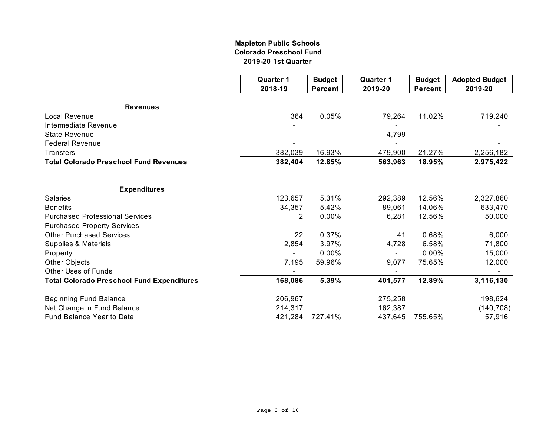#### **Mapleton Public Schools Colorado Preschool Fund 2019-20 1st Quarter**

|                                                   | <b>Quarter 1</b> | <b>Budget</b>  | <b>Quarter 1</b> | <b>Budget</b>  | <b>Adopted Budget</b> |
|---------------------------------------------------|------------------|----------------|------------------|----------------|-----------------------|
|                                                   | 2018-19          | <b>Percent</b> | 2019-20          | <b>Percent</b> | 2019-20               |
| <b>Revenues</b>                                   |                  |                |                  |                |                       |
| <b>Local Revenue</b>                              | 364              | 0.05%          | 79,264           | 11.02%         | 719,240               |
| Intermediate Revenue                              |                  |                |                  |                |                       |
| <b>State Revenue</b>                              |                  |                | 4,799            |                |                       |
| <b>Federal Revenue</b>                            |                  |                |                  |                |                       |
| <b>Transfers</b>                                  | 382,039          | 16.93%         | 479,900          | 21.27%         | 2,256,182             |
| <b>Total Colorado Preschool Fund Revenues</b>     | 382,404          | 12.85%         | 563,963          | 18.95%         | 2,975,422             |
| <b>Expenditures</b>                               |                  |                |                  |                |                       |
| Salaries                                          | 123,657          | 5.31%          | 292,389          | 12.56%         | 2,327,860             |
| <b>Benefits</b>                                   | 34,357           | 5.42%          | 89,061           | 14.06%         | 633,470               |
| <b>Purchased Professional Services</b>            | 2                | 0.00%          | 6,281            | 12.56%         | 50,000                |
| <b>Purchased Property Services</b>                |                  |                |                  |                |                       |
| <b>Other Purchased Services</b>                   | 22               | 0.37%          | 41               | 0.68%          | 6,000                 |
| Supplies & Materials                              | 2,854            | 3.97%          | 4,728            | 6.58%          | 71,800                |
| Property                                          |                  | 0.00%          |                  | 0.00%          | 15,000                |
| Other Objects                                     | 7,195            | 59.96%         | 9,077            | 75.65%         | 12,000                |
| <b>Other Uses of Funds</b>                        |                  |                |                  |                |                       |
| <b>Total Colorado Preschool Fund Expenditures</b> | 168,086          | 5.39%          | 401,577          | 12.89%         | 3,116,130             |
| <b>Beginning Fund Balance</b>                     | 206,967          |                | 275,258          |                | 198,624               |
| Net Change in Fund Balance                        | 214,317          |                | 162,387          |                | (140, 708)            |
| Fund Balance Year to Date                         | 421,284          | 727.41%        | 437,645          | 755.65%        | 57,916                |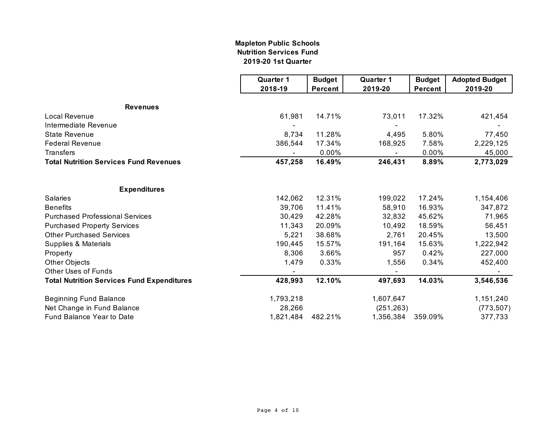#### **Nutrition Services Fund 2019-20 1st Quarter Mapleton Public Schools**

|                                                   | <b>Quarter 1</b> | <b>Budget</b>  | <b>Quarter 1</b> | <b>Budget</b>  | <b>Adopted Budget</b> |
|---------------------------------------------------|------------------|----------------|------------------|----------------|-----------------------|
|                                                   | 2018-19          | <b>Percent</b> | 2019-20          | <b>Percent</b> | 2019-20               |
| <b>Revenues</b>                                   |                  |                |                  |                |                       |
| <b>Local Revenue</b>                              | 61,981           | 14.71%         | 73,011           | 17.32%         | 421,454               |
| Intermediate Revenue                              |                  |                |                  |                |                       |
| <b>State Revenue</b>                              | 8,734            | 11.28%         | 4,495            | 5.80%          | 77,450                |
| <b>Federal Revenue</b>                            | 386,544          | 17.34%         | 168,925          | 7.58%          | 2,229,125             |
| <b>Transfers</b>                                  |                  | 0.00%          |                  | 0.00%          | 45,000                |
| <b>Total Nutrition Services Fund Revenues</b>     | 457,258          | 16.49%         | 246,431          | 8.89%          | 2,773,029             |
| <b>Expenditures</b>                               |                  |                |                  |                |                       |
| Salaries                                          | 142,062          | 12.31%         | 199,022          | 17.24%         | 1,154,406             |
| <b>Benefits</b>                                   | 39,706           | 11.41%         | 58,910           | 16.93%         | 347,872               |
| <b>Purchased Professional Services</b>            | 30,429           | 42.28%         | 32,832           | 45.62%         | 71,965                |
| <b>Purchased Property Services</b>                | 11,343           | 20.09%         | 10,492           | 18.59%         | 56,451                |
| <b>Other Purchased Services</b>                   | 5,221            | 38.68%         | 2,761            | 20.45%         | 13,500                |
| Supplies & Materials                              | 190,445          | 15.57%         | 191,164          | 15.63%         | 1,222,942             |
| Property                                          | 8,306            | 3.66%          | 957              | 0.42%          | 227,000               |
| Other Objects                                     | 1,479            | 0.33%          | 1,556            | 0.34%          | 452,400               |
| <b>Other Uses of Funds</b>                        |                  |                |                  |                |                       |
| <b>Total Nutrition Services Fund Expenditures</b> | 428,993          | 12.10%         | 497,693          | 14.03%         | 3,546,536             |
| <b>Beginning Fund Balance</b>                     | 1,793,218        |                | 1,607,647        |                | 1,151,240             |
| Net Change in Fund Balance                        | 28,266           |                | (251, 263)       |                | (773, 507)            |
| Fund Balance Year to Date                         | 1,821,484        | 482.21%        | 1,356,384        | 359.09%        | 377,733               |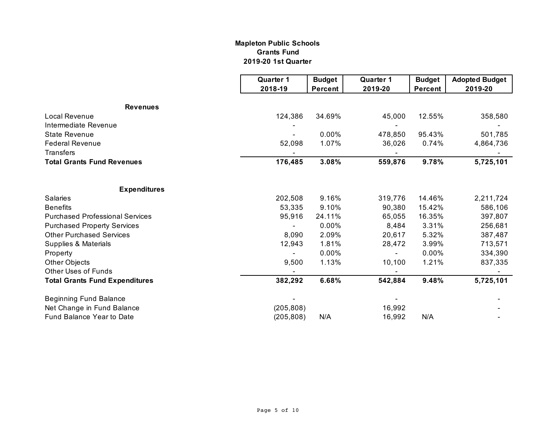#### **Mapleton Public Schools Grants Fund 2019-20 1st Quarter**

|                                        | <b>Quarter 1</b><br>2018-19 | <b>Budget</b><br><b>Percent</b> | <b>Quarter 1</b><br>2019-20 | <b>Budget</b><br>Percent | <b>Adopted Budget</b><br>2019-20 |
|----------------------------------------|-----------------------------|---------------------------------|-----------------------------|--------------------------|----------------------------------|
|                                        |                             |                                 |                             |                          |                                  |
| <b>Revenues</b>                        |                             |                                 |                             |                          |                                  |
| Local Revenue                          | 124,386                     | 34.69%                          | 45,000                      | 12.55%                   | 358,580                          |
| Intermediate Revenue                   |                             |                                 |                             |                          |                                  |
| <b>State Revenue</b>                   |                             | 0.00%                           | 478,850                     | 95.43%                   | 501,785                          |
| <b>Federal Revenue</b>                 | 52,098                      | 1.07%                           | 36,026                      | 0.74%                    | 4,864,736                        |
| <b>Transfers</b>                       |                             |                                 |                             |                          |                                  |
| <b>Total Grants Fund Revenues</b>      | 176,485                     | 3.08%                           | 559,876                     | 9.78%                    | 5,725,101                        |
|                                        |                             |                                 |                             |                          |                                  |
| <b>Expenditures</b>                    |                             |                                 |                             |                          |                                  |
| <b>Salaries</b>                        | 202,508                     | 9.16%                           | 319,776                     | 14.46%                   | 2,211,724                        |
| <b>Benefits</b>                        | 53,335                      | 9.10%                           | 90,380                      | 15.42%                   | 586,106                          |
| <b>Purchased Professional Services</b> | 95,916                      | 24.11%                          | 65,055                      | 16.35%                   | 397,807                          |
| <b>Purchased Property Services</b>     |                             | 0.00%                           | 8,484                       | 3.31%                    | 256,681                          |
| <b>Other Purchased Services</b>        | 8,090                       | 2.09%                           | 20,617                      | 5.32%                    | 387,487                          |
| Supplies & Materials                   | 12,943                      | 1.81%                           | 28,472                      | 3.99%                    | 713,571                          |
| Property                               |                             | 0.00%                           |                             | 0.00%                    | 334,390                          |
| <b>Other Objects</b>                   | 9,500                       | 1.13%                           | 10,100                      | 1.21%                    | 837,335                          |
| <b>Other Uses of Funds</b>             |                             |                                 |                             |                          |                                  |
| <b>Total Grants Fund Expenditures</b>  | 382,292                     | 6.68%                           | 542,884                     | 9.48%                    | 5,725,101                        |
| <b>Beginning Fund Balance</b>          |                             |                                 |                             |                          |                                  |
| Net Change in Fund Balance             | (205, 808)                  |                                 | 16,992                      |                          |                                  |
| <b>Fund Balance Year to Date</b>       | (205, 808)                  | N/A                             | 16,992                      | N/A                      |                                  |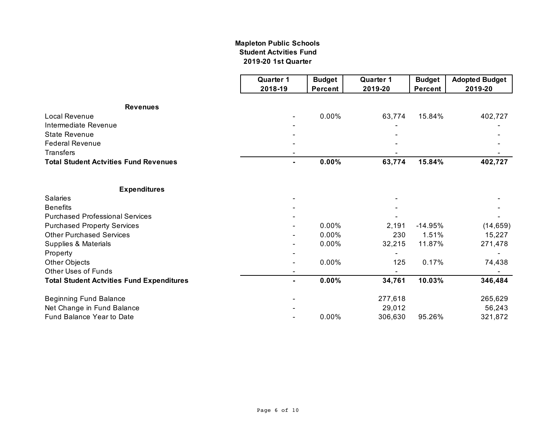#### **Mapleton Public Schools Student Actvities Fund 2019-20 1st Quarter**

|                                                  | <b>Quarter 1</b> | <b>Budget</b>  | <b>Quarter 1</b> | <b>Budget</b>  | <b>Adopted Budget</b> |
|--------------------------------------------------|------------------|----------------|------------------|----------------|-----------------------|
|                                                  | 2018-19          | <b>Percent</b> | 2019-20          | <b>Percent</b> | 2019-20               |
| <b>Revenues</b>                                  |                  |                |                  |                |                       |
| <b>Local Revenue</b>                             |                  | 0.00%          | 63,774           | 15.84%         | 402,727               |
| Intermediate Revenue                             |                  |                |                  |                |                       |
| <b>State Revenue</b>                             |                  |                |                  |                |                       |
| <b>Federal Revenue</b>                           |                  |                |                  |                |                       |
| <b>Transfers</b>                                 |                  |                |                  |                |                       |
| <b>Total Student Actvities Fund Revenues</b>     | ۰.               | 0.00%          | 63,774           | 15.84%         | 402,727               |
|                                                  |                  |                |                  |                |                       |
| <b>Expenditures</b>                              |                  |                |                  |                |                       |
| <b>Salaries</b>                                  |                  |                |                  |                |                       |
| <b>Benefits</b>                                  |                  |                |                  |                |                       |
| <b>Purchased Professional Services</b>           |                  |                |                  |                |                       |
| <b>Purchased Property Services</b>               |                  | 0.00%          | 2,191            | $-14.95%$      | (14, 659)             |
| <b>Other Purchased Services</b>                  |                  | 0.00%          | 230              | 1.51%          | 15,227                |
| Supplies & Materials                             |                  | 0.00%          | 32,215           | 11.87%         | 271,478               |
| Property                                         |                  |                |                  |                |                       |
| Other Objects                                    |                  | 0.00%          | 125              | 0.17%          | 74,438                |
| <b>Other Uses of Funds</b>                       |                  |                |                  |                |                       |
| <b>Total Student Actvities Fund Expenditures</b> | ۰.               | 0.00%          | 34,761           | 10.03%         | 346,484               |
| <b>Beginning Fund Balance</b>                    |                  |                | 277,618          |                | 265,629               |
| Net Change in Fund Balance                       |                  |                | 29,012           |                | 56,243                |
| Fund Balance Year to Date                        |                  | 0.00%          | 306,630          | 95.26%         | 321,872               |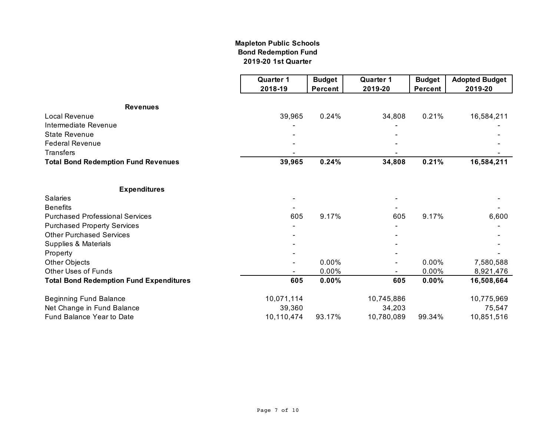#### **Mapleton Public Schools Bond Redemption Fund 2019-20 1st Quarter**

|                                                | <b>Quarter 1</b> | <b>Budget</b>  | <b>Quarter 1</b> | <b>Budget</b>  | <b>Adopted Budget</b> |
|------------------------------------------------|------------------|----------------|------------------|----------------|-----------------------|
|                                                | 2018-19          | <b>Percent</b> | 2019-20          | <b>Percent</b> | 2019-20               |
| <b>Revenues</b>                                |                  |                |                  |                |                       |
| <b>Local Revenue</b>                           | 39,965           | 0.24%          | 34,808           | 0.21%          | 16,584,211            |
| Intermediate Revenue                           |                  |                |                  |                |                       |
| <b>State Revenue</b>                           |                  |                |                  |                |                       |
| <b>Federal Revenue</b>                         |                  |                |                  |                |                       |
| <b>Transfers</b>                               |                  |                |                  |                |                       |
| <b>Total Bond Redemption Fund Revenues</b>     | 39,965           | 0.24%          | 34,808           | 0.21%          | 16,584,211            |
| <b>Expenditures</b>                            |                  |                |                  |                |                       |
| <b>Salaries</b>                                |                  |                |                  |                |                       |
| <b>Benefits</b>                                |                  |                |                  |                |                       |
| <b>Purchased Professional Services</b>         | 605              | 9.17%          | 605              | 9.17%          | 6,600                 |
| <b>Purchased Property Services</b>             |                  |                |                  |                |                       |
| <b>Other Purchased Services</b>                |                  |                |                  |                |                       |
| Supplies & Materials                           |                  |                |                  |                |                       |
| Property                                       |                  |                |                  |                |                       |
| Other Objects                                  |                  | 0.00%          |                  | 0.00%          | 7,580,588             |
| <b>Other Uses of Funds</b>                     |                  | 0.00%          |                  | 0.00%          | 8,921,476             |
| <b>Total Bond Redemption Fund Expenditures</b> | 605              | 0.00%          | 605              | 0.00%          | 16,508,664            |
| <b>Beginning Fund Balance</b>                  | 10,071,114       |                | 10,745,886       |                | 10,775,969            |
| Net Change in Fund Balance                     | 39,360           |                | 34,203           |                | 75,547                |
| Fund Balance Year to Date                      | 10,110,474       | 93.17%         | 10,780,089       | 99.34%         | 10,851,516            |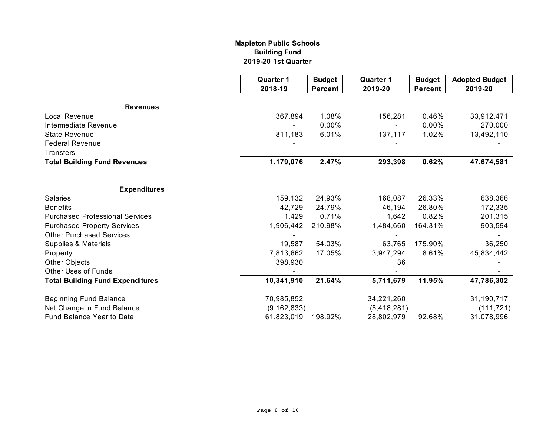#### **2019-20 1st Quarter Mapleton Public Schools Building Fund**

|                                         | <b>Quarter 1</b> | <b>Budget</b>  | <b>Quarter 1</b> | <b>Budget</b> | <b>Adopted Budget</b> |
|-----------------------------------------|------------------|----------------|------------------|---------------|-----------------------|
|                                         | 2018-19          | <b>Percent</b> | 2019-20          | Percent       | 2019-20               |
| <b>Revenues</b>                         |                  |                |                  |               |                       |
| Local Revenue                           | 367,894          | 1.08%          | 156,281          | 0.46%         | 33,912,471            |
| Intermediate Revenue                    |                  | 0.00%          |                  | 0.00%         | 270,000               |
| <b>State Revenue</b>                    | 811,183          | 6.01%          | 137,117          | 1.02%         | 13,492,110            |
| <b>Federal Revenue</b>                  |                  |                |                  |               |                       |
| <b>Transfers</b>                        |                  |                |                  |               |                       |
| <b>Total Building Fund Revenues</b>     | 1,179,076        | 2.47%          | 293,398          | 0.62%         | 47,674,581            |
| <b>Expenditures</b>                     |                  |                |                  |               |                       |
| <b>Salaries</b>                         | 159,132          | 24.93%         | 168,087          | 26.33%        | 638,366               |
| <b>Benefits</b>                         | 42,729           | 24.79%         | 46,194           | 26.80%        | 172,335               |
| <b>Purchased Professional Services</b>  | 1,429            | 0.71%          | 1,642            | 0.82%         | 201,315               |
| <b>Purchased Property Services</b>      | 1,906,442        | 210.98%        | 1,484,660        | 164.31%       | 903,594               |
| <b>Other Purchased Services</b>         |                  |                |                  |               |                       |
| Supplies & Materials                    | 19,587           | 54.03%         | 63,765           | 175.90%       | 36,250                |
| Property                                | 7,813,662        | 17.05%         | 3,947,294        | 8.61%         | 45,834,442            |
| Other Objects                           | 398,930          |                | 36               |               |                       |
| <b>Other Uses of Funds</b>              |                  |                |                  |               |                       |
| <b>Total Building Fund Expenditures</b> | 10,341,910       | 21.64%         | 5,711,679        | 11.95%        | 47,786,302            |
| <b>Beginning Fund Balance</b>           | 70,985,852       |                | 34,221,260       |               | 31,190,717            |
| Net Change in Fund Balance              | (9, 162, 833)    |                | (5,418,281)      |               | (111, 721)            |
| Fund Balance Year to Date               | 61,823,019       | 198.92%        | 28,802,979       | 92.68%        | 31,078,996            |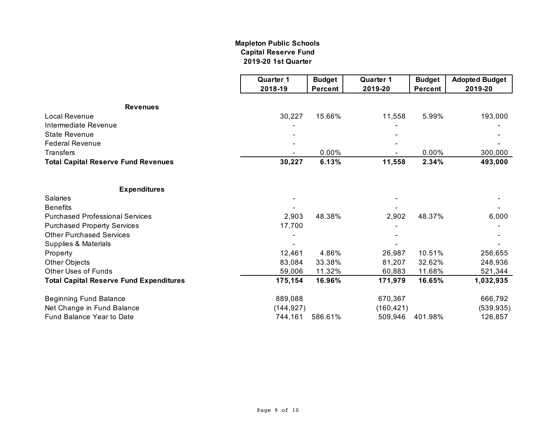#### **Mapleton Public Schools Capital Reserve Fund 2019-20 1st Quarter**

|                                                | <b>Quarter 1</b> | <b>Budget</b>  | <b>Quarter 1</b> | <b>Budget</b>  | <b>Adopted Budget</b> |
|------------------------------------------------|------------------|----------------|------------------|----------------|-----------------------|
|                                                | 2018-19          | <b>Percent</b> | 2019-20          | <b>Percent</b> | 2019-20               |
| <b>Revenues</b>                                |                  |                |                  |                |                       |
| <b>Local Revenue</b>                           | 30,227           | 15.66%         | 11,558           | 5.99%          | 193,000               |
| Intermediate Revenue                           |                  |                |                  |                |                       |
| <b>State Revenue</b>                           |                  |                |                  |                |                       |
| <b>Federal Revenue</b>                         |                  |                |                  |                |                       |
| <b>Transfers</b>                               |                  | 0.00%          |                  | 0.00%          | 300,000               |
| <b>Total Capital Reserve Fund Revenues</b>     | 30,227           | 6.13%          | 11,558           | 2.34%          | 493,000               |
| <b>Expenditures</b>                            |                  |                |                  |                |                       |
| <b>Salaries</b>                                |                  |                |                  |                |                       |
| <b>Benefits</b>                                |                  |                |                  |                |                       |
| <b>Purchased Professional Services</b>         | 2,903            | 48.38%         | 2,902            | 48.37%         | 6,000                 |
| <b>Purchased Property Services</b>             | 17,700           |                |                  |                |                       |
| <b>Other Purchased Services</b>                |                  |                |                  |                |                       |
| Supplies & Materials                           |                  |                |                  |                |                       |
| Property                                       | 12,461           | 4.86%          | 26,987           | 10.51%         | 256,655               |
| <b>Other Objects</b>                           | 83,084           | 33.38%         | 81,207           | 32.62%         | 248,936               |
| <b>Other Uses of Funds</b>                     | 59,006           | 11.32%         | 60,883           | 11.68%         | 521,344               |
| <b>Total Capital Reserve Fund Expenditures</b> | 175,154          | 16.96%         | 171,979          | 16.65%         | 1,032,935             |
| <b>Beginning Fund Balance</b>                  | 889,088          |                | 670,367          |                | 666,792               |
| Net Change in Fund Balance                     | (144, 927)       |                | (160, 421)       |                | (539, 935)            |
| Fund Balance Year to Date                      | 744,161          | 586.61%        | 509,946          | 401.98%        | 126,857               |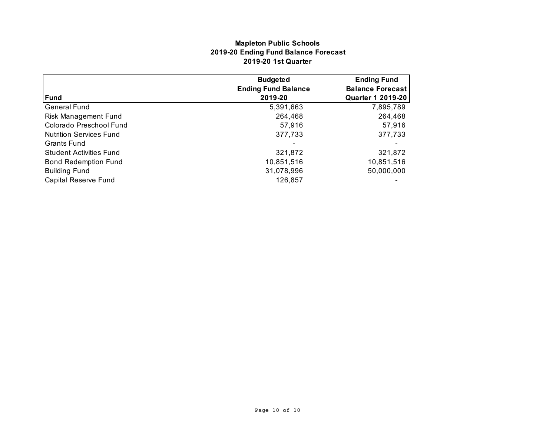### **Mapleton Public Schools 2019-20 Ending Fund Balance Forecast 2019-20 1st Quarter**

|                                | <b>Budgeted</b>            | <b>Ending Fund</b>       |
|--------------------------------|----------------------------|--------------------------|
|                                | <b>Ending Fund Balance</b> | <b>Balance Forecast</b>  |
| Fund                           | 2019-20                    | <b>Quarter 1 2019-20</b> |
| <b>General Fund</b>            | 5,391,663                  | 7,895,789                |
| Risk Management Fund           | 264,468                    | 264,468                  |
| Colorado Preschool Fund        | 57,916                     | 57,916                   |
| <b>Nutrition Services Fund</b> | 377,733                    | 377,733                  |
| <b>Grants Fund</b>             |                            |                          |
| <b>Student Activities Fund</b> | 321,872                    | 321,872                  |
| <b>Bond Redemption Fund</b>    | 10,851,516                 | 10,851,516               |
| <b>Building Fund</b>           | 31,078,996                 | 50,000,000               |
| Capital Reserve Fund           | 126,857                    |                          |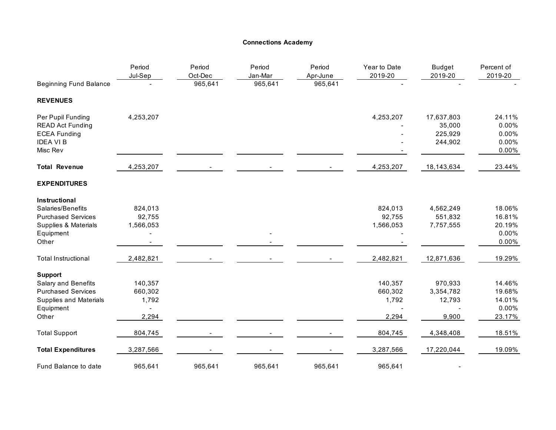#### **Connections Academy**

|                                                                                                    | Period<br>Jul-Sep | Period<br>Oct-Dec | Period<br>Jan-Mar | Period<br>Apr-June | Year to Date<br>2019-20 | <b>Budget</b><br>2019-20                   | Percent of<br>2019-20                      |
|----------------------------------------------------------------------------------------------------|-------------------|-------------------|-------------------|--------------------|-------------------------|--------------------------------------------|--------------------------------------------|
| <b>Beginning Fund Balance</b>                                                                      |                   | 965,641           | 965,641           | 965,641            |                         |                                            |                                            |
| <b>REVENUES</b>                                                                                    |                   |                   |                   |                    |                         |                                            |                                            |
| Per Pupil Funding<br><b>READ Act Funding</b><br><b>ECEA Funding</b><br><b>IDEA VIB</b><br>Misc Rev | 4,253,207         |                   |                   |                    | 4,253,207               | 17,637,803<br>35,000<br>225,929<br>244,902 | 24.11%<br>0.00%<br>0.00%<br>0.00%<br>0.00% |
| <b>Total Revenue</b>                                                                               | 4,253,207         |                   |                   |                    | 4,253,207               | 18,143,634                                 | 23.44%                                     |
| <b>EXPENDITURES</b>                                                                                |                   |                   |                   |                    |                         |                                            |                                            |
| Instructional                                                                                      |                   |                   |                   |                    |                         |                                            |                                            |
| Salaries/Benefits                                                                                  | 824,013           |                   |                   |                    | 824,013                 | 4,562,249                                  | 18.06%                                     |
| <b>Purchased Services</b>                                                                          | 92,755            |                   |                   |                    | 92,755                  | 551,832                                    | 16.81%                                     |
| <b>Supplies &amp; Materials</b>                                                                    | 1,566,053         |                   |                   |                    | 1,566,053               | 7,757,555                                  | 20.19%                                     |
| Equipment                                                                                          |                   |                   |                   |                    |                         |                                            | 0.00%                                      |
| Other                                                                                              |                   |                   |                   |                    |                         |                                            | 0.00%                                      |
| <b>Total Instructional</b>                                                                         | 2,482,821         |                   |                   |                    | 2,482,821               | 12,871,636                                 | 19.29%                                     |
| <b>Support</b>                                                                                     |                   |                   |                   |                    |                         |                                            |                                            |
| Salary and Benefits                                                                                | 140,357           |                   |                   |                    | 140,357                 | 970,933                                    | 14.46%                                     |
| <b>Purchased Services</b>                                                                          | 660,302           |                   |                   |                    | 660,302                 | 3,354,782                                  | 19.68%                                     |
| Supplies and Materials                                                                             | 1,792             |                   |                   |                    | 1,792                   | 12,793                                     | 14.01%                                     |
| Equipment                                                                                          |                   |                   |                   |                    |                         |                                            | 0.00%                                      |
| Other                                                                                              | 2,294             |                   |                   |                    | 2,294                   | 9,900                                      | 23.17%                                     |
| <b>Total Support</b>                                                                               | 804,745           |                   |                   |                    | 804,745                 | 4,348,408                                  | 18.51%                                     |
| <b>Total Expenditures</b>                                                                          | 3,287,566         |                   |                   |                    | 3,287,566               | 17,220,044                                 | 19.09%                                     |
| Fund Balance to date                                                                               | 965,641           | 965,641           | 965,641           | 965,641            | 965,641                 |                                            |                                            |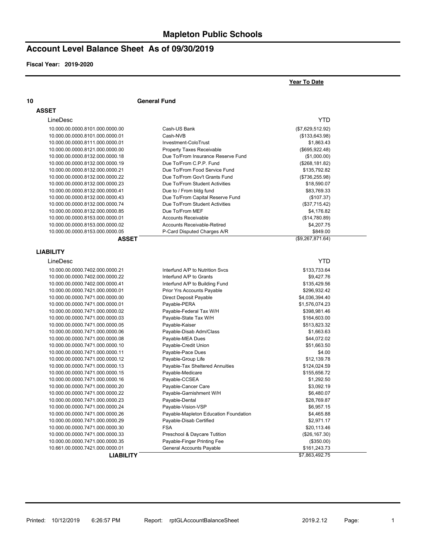# **Account Level Balance Sheet As of 09/30/2019**

**Fiscal Year: 2019-2020**

|                                                                    |                                                                        | Year To Date                    |
|--------------------------------------------------------------------|------------------------------------------------------------------------|---------------------------------|
| 10                                                                 | <b>General Fund</b>                                                    |                                 |
| <b>ASSET</b>                                                       |                                                                        |                                 |
| LineDesc                                                           |                                                                        | <b>YTD</b>                      |
|                                                                    |                                                                        |                                 |
| 10.000.00.0000.8101.000.0000.00                                    | Cash-US Bank                                                           | (\$7,629,512.92)                |
| 10.000.00.0000.8101.000.0000.01                                    | Cash-NVB                                                               | (\$133,643.98)                  |
| 10.000.00.0000.8111.000.0000.01                                    | Investment-ColoTrust                                                   | \$1,863.43                      |
| 10.000.00.0000.8121.000.0000.00                                    | <b>Property Taxes Receivable</b><br>Due To/From Insurance Reserve Fund | (\$695,922.48)                  |
| 10.000.00.0000.8132.000.0000.18                                    | Due To/From C.P.P. Fund                                                | (\$1,000.00)                    |
| 10.000.00.0000.8132.000.0000.19<br>10.000.00.0000.8132.000.0000.21 | Due To/From Food Service Fund                                          | (\$268, 181.82)<br>\$135,792.82 |
| 10.000.00.0000.8132.000.0000.22                                    | Due To/From Gov't Grants Fund                                          |                                 |
| 10.000.00.0000.8132.000.0000.23                                    | Due To/From Student Activities                                         | (\$736,255.98)<br>\$18,590.07   |
| 10.000.00.0000.8132.000.0000.41                                    | Due to / From bldg fund                                                | \$83,769.33                     |
| 10.000.00.0000.8132.000.0000.43                                    | Due To/From Capital Reserve Fund                                       | (\$107.37)                      |
| 10.000.00.0000.8132.000.0000.74                                    | Due To/From Student Activities                                         | (\$37,715.42)                   |
| 10.000.00.0000.8132.000.0000.85                                    | Due To/From MEF                                                        | \$4,176.82                      |
| 10.000.00.0000.8153.000.0000.01                                    | <b>Accounts Receivable</b>                                             | (\$14,780.89)                   |
| 10.000.00.0000.8153.000.0000.02                                    | <b>Accounts Receivable-Retired</b>                                     | \$4,207.75                      |
| 10.000.00.0000.8153.000.0000.05                                    | P-Card Disputed Charges A/R                                            | \$849.00                        |
| <b>ASSET</b>                                                       |                                                                        | (\$9,267,871.64)                |
|                                                                    |                                                                        |                                 |
| <b>LIABILITY</b>                                                   |                                                                        |                                 |
| LineDesc                                                           |                                                                        | YTD                             |
| 10.000.00.0000.7402.000.0000.21                                    | Interfund A/P to Nutrition Svcs                                        | \$133,733.64                    |
| 10.000.00.0000.7402.000.0000.22                                    | Interfund A/P to Grants                                                | \$9,427.76                      |
| 10.000.00.0000.7402.000.0000.41                                    | Interfund A/P to Building Fund                                         | \$135,429.56                    |
| 10.000.00.0000.7421.000.0000.01                                    | Prior Yrs Accounts Payable                                             | \$296,932.42                    |
| 10.000.00.0000.7471.000.0000.00                                    | Direct Deposit Payable                                                 | \$4,036,394.40                  |
| 10.000.00.0000.7471.000.0000.01                                    | Payable-PERA                                                           | \$1,576,074.23                  |
| 10.000.00.0000.7471.000.0000.02                                    | Payable-Federal Tax W/H                                                | \$398,981.46                    |
| 10.000.00.0000.7471.000.0000.03                                    | Payable-State Tax W/H                                                  | \$164,603.00                    |
| 10.000.00.0000.7471.000.0000.05                                    | Payable-Kaiser                                                         | \$513,823.32                    |
| 10.000.00.0000.7471.000.0000.06                                    | Payable-Disab Adm/Class                                                | \$1,663.63                      |
| 10.000.00.0000.7471.000.0000.08                                    | Payable-MEA Dues                                                       | \$44,072.02                     |
| 10.000.00.0000.7471.000.0000.10<br>10.000.00.0000.7471.000.0000.11 | Payable-Credit Union                                                   | \$51,663.50                     |
| 10.000.00.0000.7471.000.0000.12                                    | Payable-Pace Dues                                                      | \$4.00<br>\$12,139.78           |
| 10.000.00.0000.7471.000.0000.13                                    | Payable-Group Life<br>Payable-Tax Sheltered Annuities                  | \$124,024.59                    |
| 10.000.00.0000.7471.000.0000.15                                    | Payable-Medicare                                                       | \$155,656.72                    |
| 10.000.00.0000.7471.000.0000.16                                    | Payable-CCSEA                                                          | \$1,292.50                      |
| 10.000.00.0000.7471.000.0000.20                                    | Payable-Cancer Care                                                    | \$3,092.19                      |
| 10.000.00.0000.7471.000.0000.22                                    | Pavable-Garnishment W/H                                                | \$6,480.07                      |
| 10.000.00.0000.7471.000.0000.23                                    | Payable-Dental                                                         | \$28,769.87                     |
| 10.000.00.0000.7471.000.0000.24                                    | Payable-Vision-VSP                                                     | \$6,957.15                      |
| 10.000.00.0000.7471.000.0000.26                                    | Payable-Mapleton Education Foundation                                  | \$4,465.88                      |
| 10.000.00.0000.7471.000.0000.29                                    | Payable-Disab Certified                                                | \$2,971.17                      |
| 10.000.00.0000.7471.000.0000.30                                    | <b>FSA</b>                                                             | \$20,113.46                     |
| 10.000.00.0000.7471.000.0000.33                                    | Preschool & Daycare Tutition                                           | (\$26,167.30)                   |
| 10.000.00.0000.7471.000.0000.35                                    | Payable-Finger Printing Fee                                            | (\$350.00)                      |
| 10.661.00.0000.7421.000.0000.01                                    | General Accounts Payable                                               | \$161,243.73                    |
| <b>LIABILITY</b>                                                   |                                                                        | \$7,863,492.75                  |